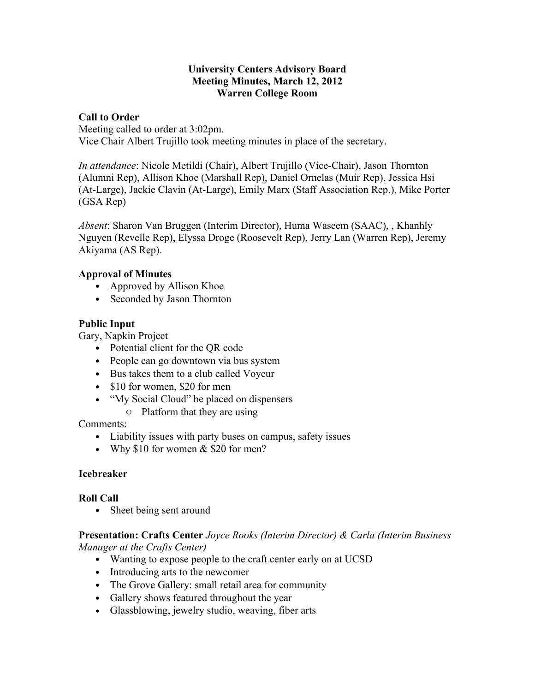#### **University Centers Advisory Board Meeting Minutes, March 12, 2012 Warren College Room**

#### **Call to Order**

Meeting called to order at 3:02pm. Vice Chair Albert Trujillo took meeting minutes in place of the secretary.

*In attendance*: Nicole Metildi (Chair), Albert Trujillo (Vice-Chair), Jason Thornton (Alumni Rep), Allison Khoe (Marshall Rep), Daniel Ornelas (Muir Rep), Jessica Hsi (At-Large), Jackie Clavin (At-Large), Emily Marx (Staff Association Rep.), Mike Porter (GSA Rep)

*Absent*: Sharon Van Bruggen (Interim Director), Huma Waseem (SAAC), , Khanhly Nguyen (Revelle Rep), Elyssa Droge (Roosevelt Rep), Jerry Lan (Warren Rep), Jeremy Akiyama (AS Rep).

#### **Approval of Minutes**

- Approved by Allison Khoe
- Seconded by Jason Thornton

## **Public Input**

Gary, Napkin Project

- Potential client for the QR code
- People can go downtown via bus system
- Bus takes them to a club called Voyeur
- \$10 for women, \$20 for men
- "My Social Cloud" be placed on dispensers
	- o Platform that they are using

Comments:

- Liability issues with party buses on campus, safety issues
- Why  $$10$  for women  $&$  \$20 for men?

## **Icebreaker**

## **Roll Call**

• Sheet being sent around

**Presentation: Crafts Center** *Joyce Rooks (Interim Director) & Carla (Interim Business Manager at the Crafts Center)*

- Wanting to expose people to the craft center early on at UCSD
- Introducing arts to the newcomer
- The Grove Gallery: small retail area for community
- Gallery shows featured throughout the year
- Glassblowing, jewelry studio, weaving, fiber arts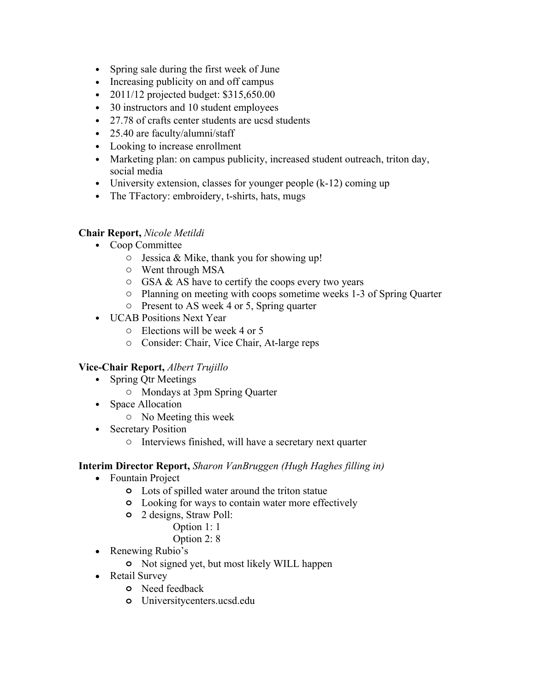- Spring sale during the first week of June
- Increasing publicity on and off campus
- 2011/12 projected budget:  $$315,650.00$
- 30 instructors and 10 student employees
- 27.78 of crafts center students are ucsd students
- 25.40 are faculty/alumni/staff
- Looking to increase enrollment
- Marketing plan: on campus publicity, increased student outreach, triton day, social media
- University extension, classes for younger people  $(k-12)$  coming up
- The TFactory: embroidery, t-shirts, hats, mugs

# **Chair Report,** *Nicole Metildi*

- Coop Committee
	- o Jessica & Mike, thank you for showing up!
	- o Went through MSA
	- $\circ$  GSA & AS have to certify the coops every two years
	- o Planning on meeting with coops sometime weeks 1-3 of Spring Quarter
	- o Present to AS week 4 or 5, Spring quarter
- UCAB Positions Next Year
	- o Elections will be week 4 or 5
	- o Consider: Chair, Vice Chair, At-large reps

## **Vice-Chair Report,** *Albert Trujillo*

- Spring Qtr Meetings
	- o Mondays at 3pm Spring Quarter
- Space Allocation
	- o No Meeting this week
- Secretary Position
	- o Interviews finished, will have a secretary next quarter

## **Interim Director Report,** *Sharon VanBruggen (Hugh Haghes filling in)*

- Fountain Project
	- **o** Lots of spilled water around the triton statue
	- **o** Looking for ways to contain water more effectively
	- **o** 2 designs, Straw Poll:
		- Option 1: 1
		- Option 2: 8
- Renewing Rubio's
	- **o** Not signed yet, but most likely WILL happen
- Retail Survey
	- **o** Need feedback
	- **o** Universitycenters.ucsd.edu